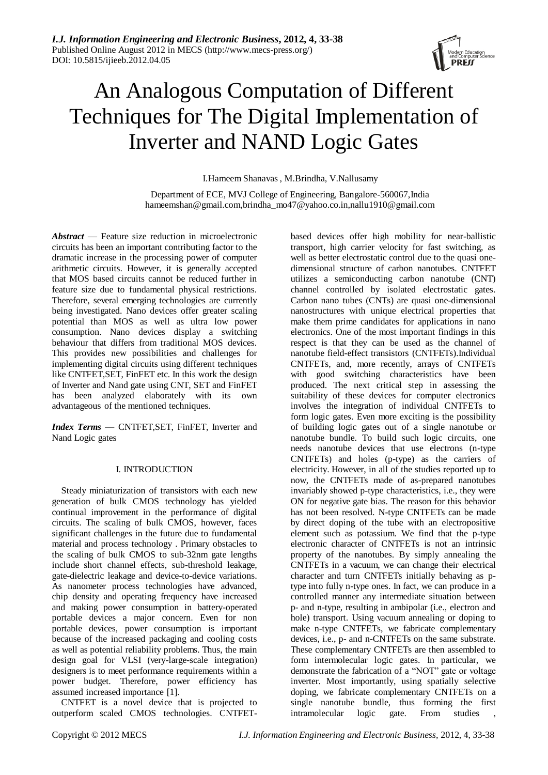

# An Analogous Computation of Different Techniques for The Digital Implementation of Inverter and NAND Logic Gates

I.Hameem Shanavas, M.Brindha, V.Nallusamy Department of ECE, MVJ College of Engineering, Bangalore-560067,India hameemshan@gmail.com,brindha\_mo47@yahoo.co.in,nallu1910@gmail.com

*Abstract* — Feature size reduction in microelectronic circuits has been an important contributing factor to the dramatic increase in the processing power of computer arithmetic circuits. However, it is generally accepted that MOS based circuits cannot be reduced further in feature size due to fundamental physical restrictions. Therefore, several emerging technologies are currently being investigated. Nano devices offer greater scaling potential than MOS as well as ultra low power consumption. Nano devices display a switching behaviour that differs from traditional MOS devices. This provides new possibilities and challenges for implementing digital circuits using different techniques like CNTFET,SET, FinFET etc. In this work the design of Inverter and Nand gate using CNT, SET and FinFET has been analyzed elaborately with its own advantageous of the mentioned techniques.

*Index Terms* — CNTFET,SET, FinFET, Inverter and Nand Logic gates

# I. INTRODUCTION

Steady miniaturization of transistors with each new generation of bulk CMOS technology has yielded continual improvement in the performance of digital circuits. The scaling of bulk CMOS, however, faces significant challenges in the future due to fundamental material and process technology . Primary obstacles to the scaling of bulk CMOS to sub-32nm gate lengths include short channel effects, sub-threshold leakage, gate-dielectric leakage and device-to-device variations. As nanometer process technologies have advanced, chip density and operating frequency have increased and making power consumption in battery-operated portable devices a major concern. Even for non portable devices, power consumption is important because of the increased packaging and cooling costs as well as potential reliability problems. Thus, the main design goal for VLSI (very-large-scale integration) designers is to meet performance requirements within a power budget. Therefore, power efficiency has assumed increased importance [1].

CNTFET is a novel device that is projected to outperform scaled CMOS technologies. CNTFET- based devices offer high mobility for near-ballistic transport, high carrier velocity for fast switching, as well as better electrostatic control due to the quasi onedimensional structure of carbon nanotubes. CNTFET utilizes a semiconducting carbon nanotube (CNT) channel controlled by isolated electrostatic gates. Carbon nano tubes (CNTs) are quasi one-dimensional nanostructures with unique electrical properties that make them prime candidates for applications in nano electronics. One of the most important findings in this respect is that they can be used as the channel of nanotube field-effect transistors (CNTFETs).Individual CNTFETs, and, more recently, arrays of CNTFETs with good switching characteristics have been produced. The next critical step in assessing the suitability of these devices for computer electronics involves the integration of individual CNTFETs to form logic gates. Even more exciting is the possibility of building logic gates out of a single nanotube or nanotube bundle. To build such logic circuits, one needs nanotube devices that use electrons (n-type CNTFETs) and holes (p-type) as the carriers of electricity. However, in all of the studies reported up to now, the CNTFETs made of as-prepared nanotubes invariably showed p-type characteristics, i.e., they were ON for negative gate bias. The reason for this behavior has not been resolved. N-type CNTFETs can be made by direct doping of the tube with an electropositive element such as potassium. We find that the p-type electronic character of CNTFETs is not an intrinsic property of the nanotubes. By simply annealing the CNTFETs in a vacuum, we can change their electrical character and turn CNTFETs initially behaving as ptype into fully n-type ones. In fact, we can produce in a controlled manner any intermediate situation between p- and n-type, resulting in ambipolar (i.e., electron and hole) transport. Using vacuum annealing or doping to make n-type CNTFETs, we fabricate complementary devices, i.e., p- and n-CNTFETs on the same substrate. These complementary CNTFETs are then assembled to form intermolecular logic gates. In particular, we demonstrate the fabrication of a "NOT" gate or voltage inverter. Most importantly, using spatially selective doping, we fabricate complementary CNTFETs on a single nanotube bundle, thus forming the first intramolecular logic gate. From studies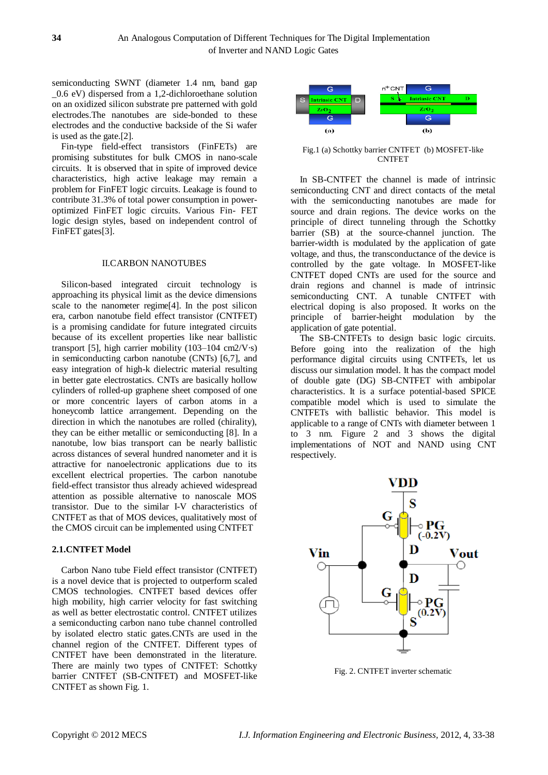semiconducting SWNT (diameter 1.4 nm, band gap \_0.6 eV) dispersed from a 1,2-dichloroethane solution on an oxidized silicon substrate pre patterned with gold electrodes.The nanotubes are side-bonded to these electrodes and the conductive backside of the Si wafer is used as the gate.[2].

Fin-type field-effect transistors (FinFETs) are promising substitutes for bulk CMOS in nano-scale circuits. It is observed that in spite of improved device characteristics, high active leakage may remain a problem for FinFET logic circuits. Leakage is found to contribute 31.3% of total power consumption in poweroptimized FinFET logic circuits. Various Fin- FET logic design styles, based on independent control of FinFET gates[3].

#### II.CARBON NANOTUBES

Silicon-based integrated circuit technology is approaching its physical limit as the device dimensions scale to the nanometer regime[4]. In the post silicon era, carbon nanotube field effect transistor (CNTFET) is a promising candidate for future integrated circuits because of its excellent properties like near ballistic transport [5], high carrier mobility (103–104 cm2/V s) in semiconducting carbon nanotube (CNTs) [6,7], and easy integration of high-k dielectric material resulting in better gate electrostatics. CNTs are basically hollow cylinders of rolled-up graphene sheet composed of one or more concentric layers of carbon atoms in a honeycomb lattice arrangement. Depending on the direction in which the nanotubes are rolled (chirality), they can be either metallic or semiconducting [8]. In a nanotube, low bias transport can be nearly ballistic across distances of several hundred nanometer and it is attractive for nanoelectronic applications due to its excellent electrical properties. The carbon nanotube field-effect transistor thus already achieved widespread attention as possible alternative to nanoscale MOS transistor. Due to the similar I-V characteristics of CNTFET as that of MOS devices, qualitatively most of the CMOS circuit can be implemented using CNTFET

### **2.1.CNTFET Model**

Carbon Nano tube Field effect transistor (CNTFET) is a novel device that is projected to outperform scaled CMOS technologies. CNTFET based devices offer high mobility, high carrier velocity for fast switching as well as better electrostatic control. CNTFET utilizes a semiconducting carbon nano tube channel controlled by isolated electro static gates.CNTs are used in the channel region of the CNTFET. Different types of CNTFET have been demonstrated in the literature. There are mainly two types of CNTFET: Schottky barrier CNTFET (SB-CNTFET) and MOSFET-like CNTFET as shown Fig. 1.



Fig.1 (a) Schottky barrier CNTFET (b) MOSFET-like **CNTFET** 

In SB-CNTFET the channel is made of intrinsic semiconducting CNT and direct contacts of the metal with the semiconducting nanotubes are made for source and drain regions. The device works on the principle of direct tunneling through the Schottky barrier (SB) at the source-channel junction. The barrier-width is modulated by the application of gate voltage, and thus, the transconductance of the device is controlled by the gate voltage. In MOSFET-like CNTFET doped CNTs are used for the source and drain regions and channel is made of intrinsic semiconducting CNT. A tunable CNTFET with electrical doping is also proposed. It works on the principle of barrier-height modulation by the application of gate potential.

The SB-CNTFETs to design basic logic circuits. Before going into the realization of the high performance digital circuits using CNTFETs, let us discuss our simulation model. It has the compact model of double gate (DG) SB-CNTFET with ambipolar characteristics. It is a surface potential-based SPICE compatible model which is used to simulate the CNTFETs with ballistic behavior. This model is applicable to a range of CNTs with diameter between 1 to 3 nm. Figure 2 and 3 shows the digital implementations of NOT and NAND using CNT respectively.



Fig. 2. CNTFET inverter schematic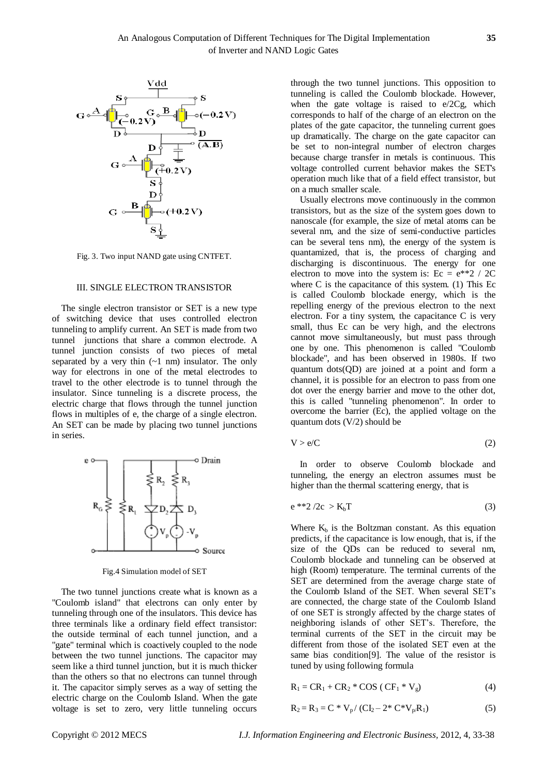

Fig. 3. Two input NAND gate using CNTFET.

### III. SINGLE ELECTRON TRANSISTOR

The single electron transistor or SET is a new type of switching device that uses controlled electron tunneling to amplify current. An SET is made from two tunnel junctions that share a common electrode. A tunnel junction consists of two pieces of metal separated by a very thin  $(-1 \text{ nm})$  insulator. The only way for electrons in one of the metal electrodes to travel to the other electrode is to tunnel through the insulator. Since tunneling is a discrete process, the electric charge that flows through the tunnel junction flows in multiples of e, the charge of a single electron. An SET can be made by placing two tunnel junctions in series.



Fig.4 Simulation model of SET

The two tunnel junctions create what is known as a "Coulomb island" that electrons can only enter by tunneling through one of the insulators. This device has three terminals like a ordinary field effect transistor: the outside terminal of each tunnel junction, and a "gate" terminal which is coactively coupled to the node between the two tunnel junctions. The capacitor may seem like a third tunnel junction, but it is much thicker than the others so that no electrons can tunnel through it. The capacitor simply serves as a way of setting the electric charge on the Coulomb Island. When the gate voltage is set to zero, very little tunneling occurs

through the two tunnel junctions. This opposition to tunneling is called the Coulomb blockade. However, when the gate voltage is raised to e/2Cg, which corresponds to half of the charge of an electron on the plates of the gate capacitor, the tunneling current goes up dramatically. The charge on the gate capacitor can be set to non-integral number of electron charges because charge transfer in metals is continuous. This voltage controlled current behavior makes the SET's operation much like that of a field effect transistor, but on a much smaller scale.

Usually electrons move continuously in the common transistors, but as the size of the system goes down to nanoscale (for example, the size of metal atoms can be several nm, and the size of semi-conductive particles can be several tens nm), the energy of the system is quantamized, that is, the process of charging and discharging is discontinuous. The energy for one electron to move into the system is:  $Ec = e^{**2} / 2C$ where C is the capacitance of this system. (1) This Ec is called Coulomb blockade energy, which is the repelling energy of the previous electron to the next electron. For a tiny system, the capacitance C is very small, thus Ec can be very high, and the electrons cannot move simultaneously, but must pass through one by one. This phenomenon is called "Coulomb blockade", and has been observed in 1980s. If two quantum dots(QD) are joined at a point and form a channel, it is possible for an electron to pass from one dot over the energy barrier and move to the other dot, this is called "tunneling phenomenon". In order to overcome the barrier (Ec), the applied voltage on the quantum dots (V/2) should be

$$
V > e/C \tag{2}
$$

In order to observe Coulomb blockade and tunneling, the energy an electron assumes must be higher than the thermal scattering energy, that is

$$
e^{**}2/2c > K_bT \tag{3}
$$

Where  $K_b$  is the Boltzman constant. As this equation predicts, if the capacitance is low enough, that is, if the size of the QDs can be reduced to several nm, Coulomb blockade and tunneling can be observed at high (Room) temperature. The terminal currents of the SET are determined from the average charge state of the Coulomb Island of the SET. When several SET's are connected, the charge state of the Coulomb Island of one SET is strongly affected by the charge states of neighboring islands of other SET's. Therefore, the terminal currents of the SET in the circuit may be different from those of the isolated SET even at the same bias condition[9]. The value of the resistor is tuned by using following formula

$$
R_1 = CR_1 + CR_2 * COS (CF_1 * V_g)
$$
 (4)

$$
R_2 = R_3 = C * V_p / (C I_2 - 2 * C * V_p R_1)
$$
 (5)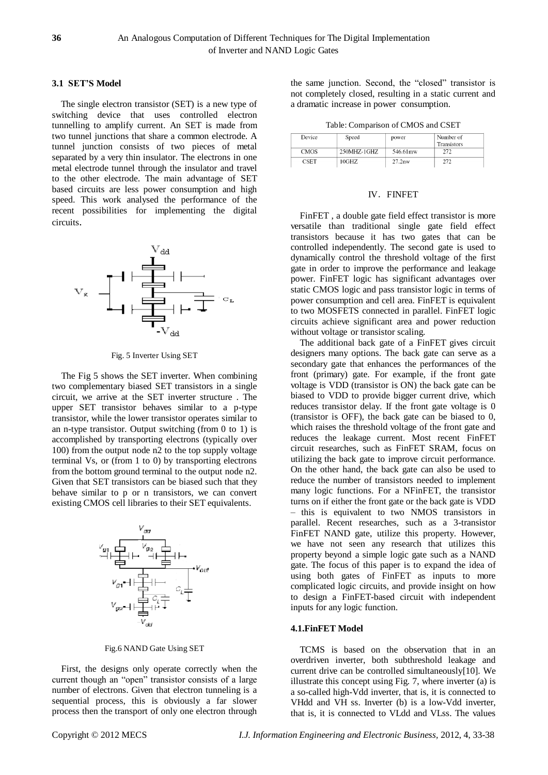# **3.1 SET'S Model**

The single electron transistor (SET) is a new type of switching device that uses controlled electron tunnelling to amplify current. An SET is made from two tunnel junctions that share a common electrode. A tunnel junction consists of two pieces of metal separated by a very thin insulator. The electrons in one metal electrode tunnel through the insulator and travel to the other electrode. The main advantage of SET based circuits are less power consumption and high speed. This work analysed the performance of the recent possibilities for implementing the digital circuits.



Fig. 5 Inverter Using SET

The Fig 5 shows the SET inverter. When combining two complementary biased SET transistors in a single circuit, we arrive at the SET inverter structure . The upper SET transistor behaves similar to a p-type transistor, while the lower transistor operates similar to an n-type transistor. Output switching (from 0 to 1) is accomplished by transporting electrons (typically over 100) from the output node n2 to the top supply voltage terminal Vs, or (from 1 to 0) by transporting electrons from the bottom ground terminal to the output node n2. Given that SET transistors can be biased such that they behave similar to p or n transistors, we can convert existing CMOS cell libraries to their SET equivalents.



Fig.6 NAND Gate Using SET

First, the designs only operate correctly when the current though an "open" transistor consists of a large number of electrons. Given that electron tunneling is a sequential process, this is obviously a far slower process then the transport of only one electron through

the same junction. Second, the "closed" transistor is not completely closed, resulting in a static current and a dramatic increase in power consumption.

Table: Comparison of CMOS and CSET

| Device      | Speed       | power              | Number of          |
|-------------|-------------|--------------------|--------------------|
|             |             |                    | <b>Transistors</b> |
| <b>CMOS</b> | 250MHZ-1GHZ | 546.61mw           | 272                |
| <b>CSET</b> | 10GHZ       | 27.2 <sub>nw</sub> | 272                |

## IV.FINFET

FinFET , a double gate field effect transistor is more versatile than traditional single gate field effect transistors because it has two gates that can be controlled independently. The second gate is used to dynamically control the threshold voltage of the first gate in order to improve the performance and leakage power. FinFET logic has significant advantages over static CMOS logic and pass transistor logic in terms of power consumption and cell area. FinFET is equivalent to two MOSFETS connected in parallel. FinFET logic circuits achieve significant area and power reduction without voltage or transistor scaling.

The additional back gate of a FinFET gives circuit designers many options. The back gate can serve as a secondary gate that enhances the performances of the front (primary) gate. For example, if the front gate voltage is VDD (transistor is ON) the back gate can be biased to VDD to provide bigger current drive, which reduces transistor delay. If the front gate voltage is 0 (transistor is OFF), the back gate can be biased to 0, which raises the threshold voltage of the front gate and reduces the leakage current. Most recent FinFET circuit researches, such as FinFET SRAM, focus on utilizing the back gate to improve circuit performance. On the other hand, the back gate can also be used to reduce the number of transistors needed to implement many logic functions. For a NFinFET, the transistor turns on if either the front gate or the back gate is VDD – this is equivalent to two NMOS transistors in parallel. Recent researches, such as a 3-transistor FinFET NAND gate, utilize this property. However, we have not seen any research that utilizes this property beyond a simple logic gate such as a NAND gate. The focus of this paper is to expand the idea of using both gates of FinFET as inputs to more complicated logic circuits, and provide insight on how to design a FinFET-based circuit with independent inputs for any logic function.

# **4.1.FinFET Model**

TCMS is based on the observation that in an overdriven inverter, both subthreshold leakage and current drive can be controlled simultaneously[10]. We illustrate this concept using Fig. 7, where inverter (a) is a so-called high-Vdd inverter, that is, it is connected to VHdd and VH ss. Inverter (b) is a low-Vdd inverter, that is, it is connected to VLdd and VLss. The values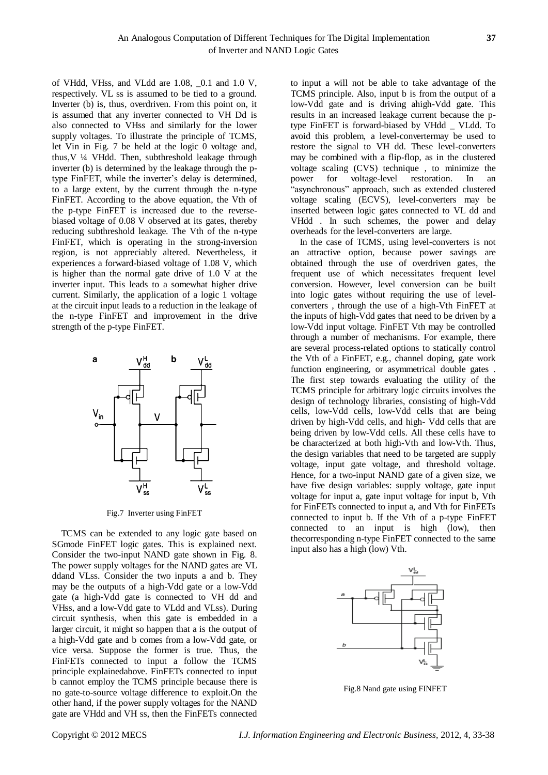of VHdd, VHss, and VLdd are 1.08, \_0.1 and 1.0 V, respectively. VL ss is assumed to be tied to a ground. Inverter (b) is, thus, overdriven. From this point on, it is assumed that any inverter connected to VH Dd is also connected to VHss and similarly for the lower supply voltages. To illustrate the principle of TCMS, let Vin in Fig. 7 be held at the logic 0 voltage and, thus,V ¼ VHdd. Then, subthreshold leakage through inverter (b) is determined by the leakage through the ptype FinFET, while the inverter's delay is determined, to a large extent, by the current through the n-type FinFET. According to the above equation, the Vth of the p-type FinFET is increased due to the reversebiased voltage of 0.08 V observed at its gates, thereby reducing subthreshold leakage. The Vth of the n-type FinFET, which is operating in the strong-inversion region, is not appreciably altered. Nevertheless, it experiences a forward-biased voltage of 1.08 V, which is higher than the normal gate drive of 1.0 V at the inverter input. This leads to a somewhat higher drive current. Similarly, the application of a logic 1 voltage at the circuit input leads to a reduction in the leakage of the n-type FinFET and improvement in the drive strength of the p-type FinFET.



Fig.7 Inverter using FinFET

TCMS can be extended to any logic gate based on SGmode FinFET logic gates. This is explained next. Consider the two-input NAND gate shown in Fig. 8. The power supply voltages for the NAND gates are VL ddand VLss. Consider the two inputs a and b. They may be the outputs of a high-Vdd gate or a low-Vdd gate (a high-Vdd gate is connected to VH dd and VHss, and a low-Vdd gate to VLdd and VLss). During circuit synthesis, when this gate is embedded in a larger circuit, it might so happen that a is the output of a high-Vdd gate and b comes from a low-Vdd gate, or vice versa. Suppose the former is true. Thus, the FinFETs connected to input a follow the TCMS principle explainedabove. FinFETs connected to input b cannot employ the TCMS principle because there is no gate-to-source voltage difference to exploit.On the other hand, if the power supply voltages for the NAND gate are VHdd and VH ss, then the FinFETs connected to input a will not be able to take advantage of the TCMS principle. Also, input b is from the output of a low-Vdd gate and is driving ahigh-Vdd gate. This results in an increased leakage current because the ptype FinFET is forward-biased by VHdd \_ VLdd. To avoid this problem, a level-convertermay be used to restore the signal to VH dd. These level-converters may be combined with a flip-flop, as in the clustered voltage scaling (CVS) technique , to minimize the power for voltage-level restoration. In an "asynchronous" approach, such as extended clustered voltage scaling (ECVS), level-converters may be inserted between logic gates connected to VL dd and VHdd . In such schemes, the power and delay overheads for the level-converters are large.

In the case of TCMS, using level-converters is not an attractive option, because power savings are obtained through the use of overdriven gates, the frequent use of which necessitates frequent level conversion. However, level conversion can be built into logic gates without requiring the use of levelconverters , through the use of a high-Vth FinFET at the inputs of high-Vdd gates that need to be driven by a low-Vdd input voltage. FinFET Vth may be controlled through a number of mechanisms. For example, there are several process-related options to statically control the Vth of a FinFET, e.g., channel doping, gate work function engineering, or asymmetrical double gates . The first step towards evaluating the utility of the TCMS principle for arbitrary logic circuits involves the design of technology libraries, consisting of high-Vdd cells, low-Vdd cells, low-Vdd cells that are being driven by high-Vdd cells, and high- Vdd cells that are being driven by low-Vdd cells. All these cells have to be characterized at both high-Vth and low-Vth. Thus, the design variables that need to be targeted are supply voltage, input gate voltage, and threshold voltage. Hence, for a two-input NAND gate of a given size, we have five design variables: supply voltage, gate input voltage for input a, gate input voltage for input b, Vth for FinFETs connected to input a, and Vth for FinFETs connected to input b. If the Vth of a p-type FinFET connected to an input is high (low), then thecorresponding n-type FinFET connected to the same input also has a high (low) Vth.



Fig.8 Nand gate using FINFET